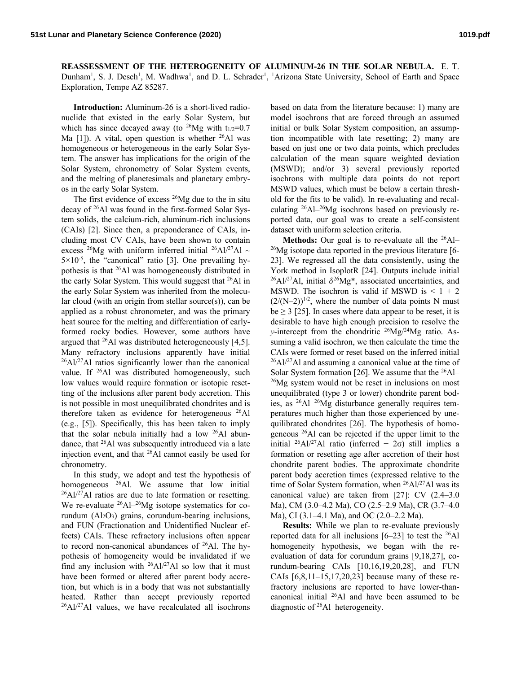**REASSESSMENT OF THE HETEROGENEITY OF ALUMINUM-26 IN THE SOLAR NEBULA.** E. T. Dunham<sup>1</sup>, S. J. Desch<sup>1</sup>, M. Wadhwa<sup>1</sup>, and D. L. Schrader<sup>1</sup>, <sup>1</sup>Arizona State University, School of Earth and Space Exploration, Tempe AZ 85287.

**Introduction:** Aluminum-26 is a short-lived radionuclide that existed in the early Solar System, but which has since decayed away (to <sup>26</sup>Mg with  $t_{1/2}$ =0.7 Ma  $[1]$ ). A vital, open question is whether <sup>26</sup>Al was homogeneous or heterogeneous in the early Solar System. The answer has implications for the origin of the Solar System, chronometry of Solar System events, and the melting of planetesimals and planetary embryos in the early Solar System.

The first evidence of excess 26Mg due to the in situ decay of 26Al was found in the first-formed Solar System solids, the calcium-rich, aluminum-rich inclusions (CAIs) [2]. Since then, a preponderance of CAIs, including most CV CAIs, have been shown to contain excess <sup>26</sup>Mg with uniform inferred initial <sup>26</sup>Al/<sup>27</sup>Al ~  $5 \times 10^{-5}$ , the "canonical" ratio [3]. One prevailing hypothesis is that 26Al was homogeneously distributed in the early Solar System. This would suggest that 26Al in the early Solar System was inherited from the molecular cloud (with an origin from stellar source $(s)$ ), can be applied as a robust chronometer, and was the primary heat source for the melting and differentiation of earlyformed rocky bodies. However, some authors have argued that 26Al was distributed heterogeneously [4,5]. Many refractory inclusions apparently have initial <sup>26</sup>Al/<sup>27</sup>Al ratios significantly lower than the canonical value. If <sup>26</sup>Al was distributed homogeneously, such low values would require formation or isotopic resetting of the inclusions after parent body accretion. This is not possible in most unequilibrated chondrites and is therefore taken as evidence for heterogeneous 26Al (e.g., [5]). Specifically, this has been taken to imply that the solar nebula initially had a low 26Al abundance, that 26Al was subsequently introduced via a late injection event, and that 26Al cannot easily be used for chronometry.

In this study, we adopt and test the hypothesis of homogeneous <sup>26</sup>Al. We assume that low initial  $^{26}$ Al/<sup>27</sup>Al ratios are due to late formation or resetting. We re-evaluate  $^{26}$ Al<sup>-26</sup>Mg isotope systematics for corundum  $(Al_2O_3)$  grains, corundum-bearing inclusions, and FUN (Fractionation and Unidentified Nuclear effects) CAIs. These refractory inclusions often appear to record non-canonical abundances of 26Al. The hypothesis of homogeneity would be invalidated if we find any inclusion with  $^{26}Al/^{27}Al$  so low that it must have been formed or altered after parent body accretion, but which is in a body that was not substantially heated. Rather than accept previously reported 26Al/27Al values, we have recalculated all isochrons

based on data from the literature because: 1) many are model isochrons that are forced through an assumed initial or bulk Solar System composition, an assumption incompatible with late resetting; 2) many are based on just one or two data points, which precludes calculation of the mean square weighted deviation (MSWD); and/or 3) several previously reported isochrons with multiple data points do not report MSWD values, which must be below a certain threshold for the fits to be valid). In re-evaluating and recalculating  $^{26}$ Al<sup> $-26$ </sup>Mg isochrons based on previously reported data, our goal was to create a self-consistent dataset with uniform selection criteria.

**Methods:** Our goal is to re-evaluate all the <sup>26</sup>Al–  $^{26}$ Mg isotope data reported in the previous literature [6-23]. We regressed all the data consistently, using the York method in IsoplotR [24]. Outputs include initial  $^{26}$ Al/<sup>27</sup>Al, initial  $\delta^{26}$ Mg<sup>\*</sup>, associated uncertainties, and MSWD. The isochron is valid if MSWD is  $\leq 1 + 2$  $(2/(N-2))^{1/2}$ , where the number of data points N must be  $\geq$  3 [25]. In cases where data appear to be reset, it is desirable to have high enough precision to resolve the *y*-intercept from the chondritic 26Mg/24Mg ratio. Assuming a valid isochron, we then calculate the time the CAIs were formed or reset based on the inferred initial  $^{26}$ Al/<sup>27</sup>Al and assuming a canonical value at the time of Solar System formation [26]. We assume that the  $^{26}$ Al–  $^{26}$ Mg system would not be reset in inclusions on most unequilibrated (type 3 or lower) chondrite parent bodies, as 26Al–26Mg disturbance generally requires temperatures much higher than those experienced by unequilibrated chondrites [26]. The hypothesis of homogeneous 26Al can be rejected if the upper limit to the initial <sup>26</sup>Al/<sup>27</sup>Al ratio (inferred + 2 $\sigma$ ) still implies a formation or resetting age after accretion of their host chondrite parent bodies. The approximate chondrite parent body accretion times (expressed relative to the time of Solar System formation, when <sup>26</sup>Al/<sup>27</sup>Al was its canonical value) are taken from [27]: CV (2.4–3.0 Ma), CM (3.0–4.2 Ma), CO (2.5–2.9 Ma), CR (3.7–4.0 Ma), CI (3.1–4.1 Ma), and OC (2.0–2.2 Ma).

**Results:** While we plan to re-evaluate previously reported data for all inclusions  $[6-23]$  to test the <sup>26</sup>Al homogeneity hypothesis, we began with the reevaluation of data for corundum grains [9,18,27], corundum-bearing CAIs [10,16,19,20,28], and FUN CAIs [6,8,11–15,17,20,23] because many of these refractory inclusions are reported to have lower-thancanonical initial 26Al and have been assumed to be diagnostic of 26Al heterogeneity.